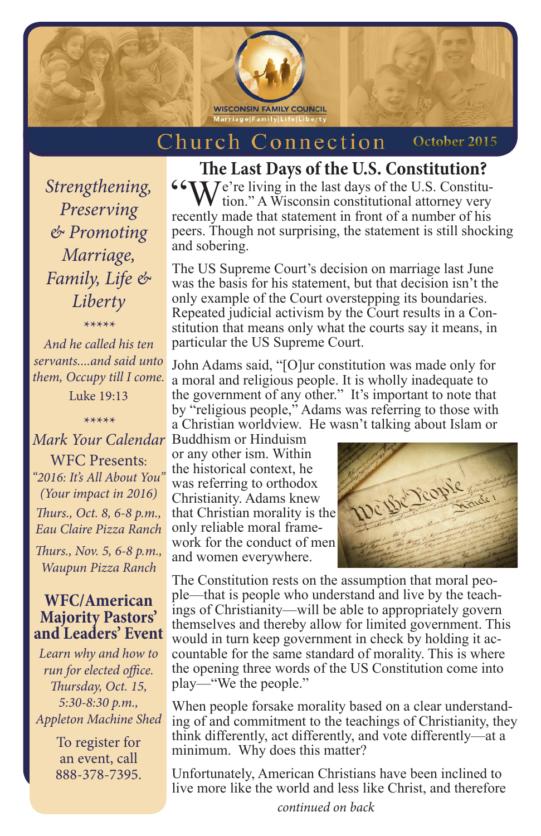

#### Church Connection  **October 2015**

*Strengthening, Preserving & Promoting Marriage, Family, Life & Liberty*

*\*\*\*\*\**

*And he called his ten servants....and said unto them, Occupy till I come.*

Luke 19:13

WFC Presents: *"2016: It's All About You" (Your impact in 2016) Thurs., Oct. 8, 6-8 p.m., Eau Claire Pizza Ranch*

*Thurs., Nov. 5, 6-8 p.m., Waupun Pizza Ranch*

## **WFC/American Majority Pastors' and Leaders' Event**

*Learn why and how to run for elected office. Thursday, Oct. 15, 5:30-8:30 p.m., Appleton Machine Shed*

> To register for an event, call 888-378-7395.

# **The Last Days of the U.S. Constitution?**

 $\begin{array}{c} \n\text{``We're living in the last days of the U.S. Constitution." A Wisconsin constitutional attempts very much used that extension in front of a number of bits.} \n\end{array}$ recently made that statement in front of a number of his peers. Though not surprising, the statement is still shocking and sobering.

The US Supreme Court's decision on marriage last June was the basis for his statement, but that decision isn't the only example of the Court overstepping its boundaries. Repeated judicial activism by the Court results in a Constitution that means only what the courts say it means, in particular the US Supreme Court.

John Adams said, "[O]ur constitution was made only for a moral and religious people. It is wholly inadequate to the government of any other." It's important to note that by "religious people," Adams was referring to those with a Christian worldview. He wasn't talking about Islam or

Buddhism or Hinduism *\*\*\*\*\* Mark Your Calendar* or any other ism. Within the historical context, he was referring to orthodox Christianity. Adams knew that Christian morality is the only reliable moral framework for the conduct of men and women everywhere.



The Constitution rests on the assumption that moral people—that is people who understand and live by the teachings of Christianity—will be able to appropriately govern themselves and thereby allow for limited government. This would in turn keep government in check by holding it accountable for the same standard of morality. This is where the opening three words of the US Constitution come into play—"We the people."

When people forsake morality based on a clear understanding of and commitment to the teachings of Christianity, they think differently, act differently, and vote differently—at a minimum. Why does this matter?

Unfortunately, American Christians have been inclined to live more like the world and less like Christ, and therefore

*continued on back*